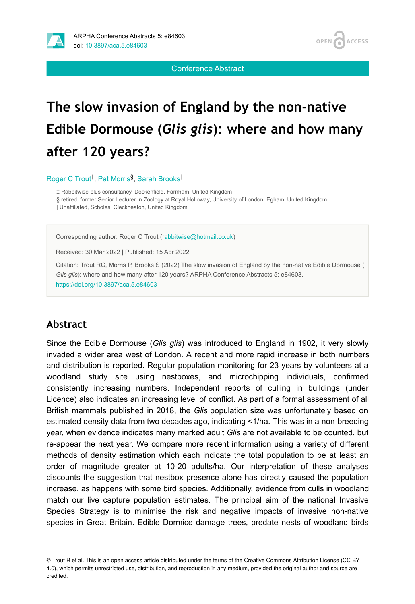

Conference Abstract

# **The slow invasion of England by the non-native Edible Dormouse (***Glis glis***): where and how many after 120 years?**

Roger C Trout<sup>1</sup>, Pat Morris<sup>§</sup>, Sarah Brooks

‡ Rabbitwise-plus consultancy, Dockenfield, Farnham, United Kingdom

§ retired, former Senior Lecturer in Zoology at Royal Holloway, University of London, Egham, United Kingdom

| Unaffiliated, Scholes, Cleckheaton, United Kingdom

Corresponding author: Roger C Trout ([rabbitwise@hotmail.co.uk\)](mailto:rabbitwise@hotmail.co.uk)

Received: 30 Mar 2022 | Published: 15 Apr 2022

Citation: Trout RC, Morris P, Brooks S (2022) The slow invasion of England by the non-native Edible Dormouse ( *Glis glis*): where and how many after 120 years? ARPHA Conference Abstracts 5: e84603. <https://doi.org/10.3897/aca.5.e84603>

#### **Abstract**

Since the Edible Dormouse (*Glis glis*) was introduced to England in 1902, it very slowly invaded a wider area west of London. A recent and more rapid increase in both numbers and distribution is reported. Regular population monitoring for 23 years by volunteers at a woodland study site using nestboxes, and microchipping individuals, confirmed consistently increasing numbers. Independent reports of culling in buildings (under Licence) also indicates an increasing level of conflict. As part of a formal assessment of all British mammals published in 2018, the *Glis* population size was unfortunately based on estimated density data from two decades ago, indicating <1/ha. This was in a non-breeding year, when evidence indicates many marked adult *Glis* are not available to be counted, but re-appear the next year. We compare more recent information using a variety of different methods of density estimation which each indicate the total population to be at least an order of magnitude greater at 10-20 adults/ha. Our interpretation of these analyses discounts the suggestion that nestbox presence alone has directly caused the population increase, as happens with some bird species. Additionally, evidence from culls in woodland match our live capture population estimates. The principal aim of the national Invasive Species Strategy is to minimise the risk and negative impacts of invasive non-native species in Great Britain. Edible Dormice damage trees, predate nests of woodland birds

© Trout R et al. This is an open access article distributed under the terms of the Creative Commons Attribution License (CC BY 4.0), which permits unrestricted use, distribution, and reproduction in any medium, provided the original author and source are credited.